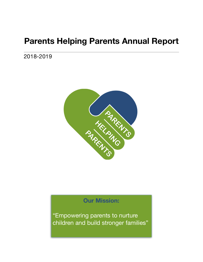# **Parents Helping Parents Annual Report**

2018-2019



## **Our Mission:**

"Empowering parents to nurture children and build stronger families"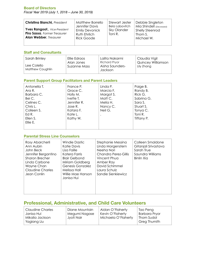#### **Board of Directors**

*Fiscal Year 2019 (July 1, 2018 – June 30, 2019)* 

| <b>Christina Bianchi</b> , President                                                           | Matthew Borrello                                           | Stewart Jester         | Debbie Singleton                                |
|------------------------------------------------------------------------------------------------|------------------------------------------------------------|------------------------|-------------------------------------------------|
|                                                                                                | Jennifer Davis                                             | Bela Labovitch         | Mia Shindell (Deceased)                         |
| Yves Rangoot., Vice-President<br>Piro Sassa, Former Treasurer<br><b>Alan Webber, Treasurer</b> | <b>Emily Devonick</b><br>Ruth Ehrlich<br><b>Rick Goode</b> | Sky Olander<br>Toni R. | <b>Shelly Steenrod</b><br>Thom S.<br>Michael W. |

### **Staff and Consultants**

| Sarah Brinley                          | Ellie Edraos               | Lalita Nakarmi                                     | Claudia Vigil                           |
|----------------------------------------|----------------------------|----------------------------------------------------|-----------------------------------------|
| Lee Colello<br><b>Matthew Coughlin</b> | Alan Jones<br>Suzanne Mass | <b>Richard Pryor</b><br>Aisha Saunders-<br>Jackson | <b>Quincey Williamson</b><br>Lily Zhang |

### **Parent Support Group Facilitators and Parent Leaders**

| Antonella T.<br>Ara R.<br>Barbara C.<br>Bei C.<br>Celines C.<br>Chris L.<br>Colleen S.<br>Ed R.<br>Ellen S.<br>Ellie E. | France P.<br>Grace C.<br>Holly M.<br>Ivette T.<br>Jennifer R.<br>Jose $R$ .<br>Katara F.<br>Kate L.<br>Kathy W. | Linda P.<br>Marcia F.<br>Margot S.<br>Matt C.<br>Melia H.<br>Nancy C.<br>Neil G. | Paige B.<br>Randy B.<br>Rick G.<br>Sabrina G.<br>Sara S.<br>Stuart S.<br>Tonya C.<br>Toni R.<br>Tiffany P. |
|-------------------------------------------------------------------------------------------------------------------------|-----------------------------------------------------------------------------------------------------------------|----------------------------------------------------------------------------------|------------------------------------------------------------------------------------------------------------|
|                                                                                                                         |                                                                                                                 |                                                                                  |                                                                                                            |

### **Parental Stress Line Counselors**

| Rosy Abarcherli<br>Ann Aubin<br>John Beck<br>Jennifer Bergantino<br><b>Sharon Brecher</b><br>Linda Carbone<br>Wayne Chan<br><b>Claudine Charles</b><br>Jean Conlin | Windie Dastic<br>Katie Davis<br>Lisa Faille<br>Katera Farris<br><b>Blair Gelbond</b><br>Miriam Goldberg<br>Genesis Gonzalez<br>Melissa Hall<br>Willie Mae Hanson<br>Janisa Hui | Stephanie Messina<br>Linda Morgenstern<br>Neeha Nori<br>Chandra Perez-Gillis<br>Vincent Phua<br>Amber Ray<br>David Schimmel<br>Laura Schulz<br>Sandie Sienkiewicz | Colleen Smaldone<br>Gitanjali Srivastava<br>Sarah True<br>Saundra Williams<br>Binlin Xia |
|--------------------------------------------------------------------------------------------------------------------------------------------------------------------|--------------------------------------------------------------------------------------------------------------------------------------------------------------------------------|-------------------------------------------------------------------------------------------------------------------------------------------------------------------|------------------------------------------------------------------------------------------|
|--------------------------------------------------------------------------------------------------------------------------------------------------------------------|--------------------------------------------------------------------------------------------------------------------------------------------------------------------------------|-------------------------------------------------------------------------------------------------------------------------------------------------------------------|------------------------------------------------------------------------------------------|

## **Professional, Administrative, and Child Care Volunteers**

| Claudine Charles               | Diane Mountain | Aidan O'Flaherty    | Tao Peng                   |
|--------------------------------|----------------|---------------------|----------------------------|
| Janisa Hui                     | Megumi Nagase  | Kevin O'Flaherty    | <b>Barbara Pryor</b>       |
| Mikalia Jackson<br>Yagiang Liu | . Jyoti Nair   | Michaela O'Flaherty | Thom Sudol<br>Greg Thumith |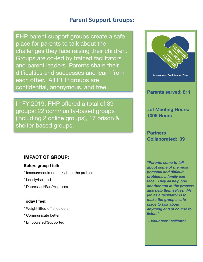## **Parent Support Groups:**

PHP parent support groups create a safe place for parents to talk about the challenges they face raising their children. Groups are co-led by trained facilitators and parent leaders. Parents share their difficulties and successes and learn from each other. All PHP groups are confidential, anonymous, and free.

In FY 2019, PHP offered a total of 39 groups: 22 community-based groups (including 2 online groups), 17 prison & shelter-based groups.

### **IMPACT OF GROUP:**

### **Before group I felt:**

- \* Insecure/could not talk about the problem
- \* Lonely/isolated
- \* Depressed/Sad/Hopeless

### **Today I feel:**

- \* Weight lifted off shoulders
- \* Communicate better
- \* Empowered/Supported



### **Parents served: 811**

## **#of Meeting Hours: 1095 Hours**

**Partners Collaborated: 39** 

**"***Parents come to talk about some of the most personal and difficult problems a family can face. They all help one another and in the process also help themselves. My job as a facilitator is to make the group a safe place to talk about anything and of course to listen."* 

 *– Volunteer Facilitator*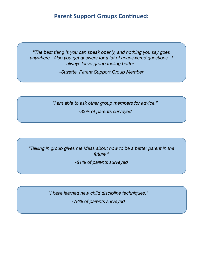## **Parent Support Groups Continued:**

"*The best thing is you can speak openly, and nothing you say goes anywhere. Also you get answers for a lot of unanswered questions. I always leave group feeling better"* 

*-Suzette, Parent Support Group Member* 

*"I am able to ask other group members for advice."* 

*-83% of parents surveyed* 

*"Talking in group gives me ideas about how to be a better parent in the future."* 

*-81% of parents surveyed* 

*"I have learned new child discipline techniques."* 

*-78% of parents surveyed*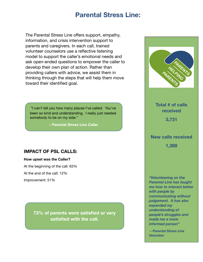## **Parental Stress Line:**

The Parental Stress Line offers support, empathy, information, and crisis intervention support to parents and caregivers. In each call, trained volunteer counselors use a reflective listening model to support the caller's emotional needs and ask open-ended questions to empower the caller to develop their own plan of action. Rather than providing callers with advice, we assist them in thinking through the steps that will help them move toward their identified goal.

"I can't tell you how many places I've called. You've been so kind and understanding. I really just needed somebody to be on my side."

**– Parental Stress Line Caller**

### **IMPACT OF PSL CALLS:**

#### **How upset was the Caller?**

At the beginning of the call: 63% At the end of the call: 12% Improvement: 51%

> **73% of parents were satisfied or very satisfied with the call.**



**Total # of calls received** 

**3,731** 

## **New calls received 1,389**

*"Volunteering on the Parental Line has taught me how to interact better with people by communicating without judgement. It has also expanded my understanding of people's struggles and made me a more informed person"* 

 *– Parental Stress Line Volunteer*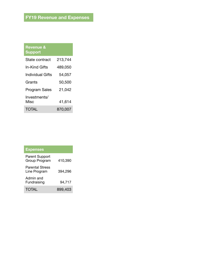| <b>Revenue &amp;</b><br><b>Support</b> |         |
|----------------------------------------|---------|
| State contract                         | 213,744 |
| In-Kind Gifts                          | 489,050 |
| Individual Gifts                       | 54,057  |
| Grants                                 | 50,500  |
| <b>Program Sales</b>                   | 21,042  |
| Investments/<br>Misc                   | 41,614  |
| TOTAL                                  | 870,007 |

| <b>Expenses</b>                        |         |
|----------------------------------------|---------|
| <b>Parent Support</b><br>Group Program | 410,390 |
| <b>Parental Stress</b><br>Line Program | 394,296 |
| Admin and<br>Fundraising               | 94,717  |
| TOTAL                                  | 899,403 |